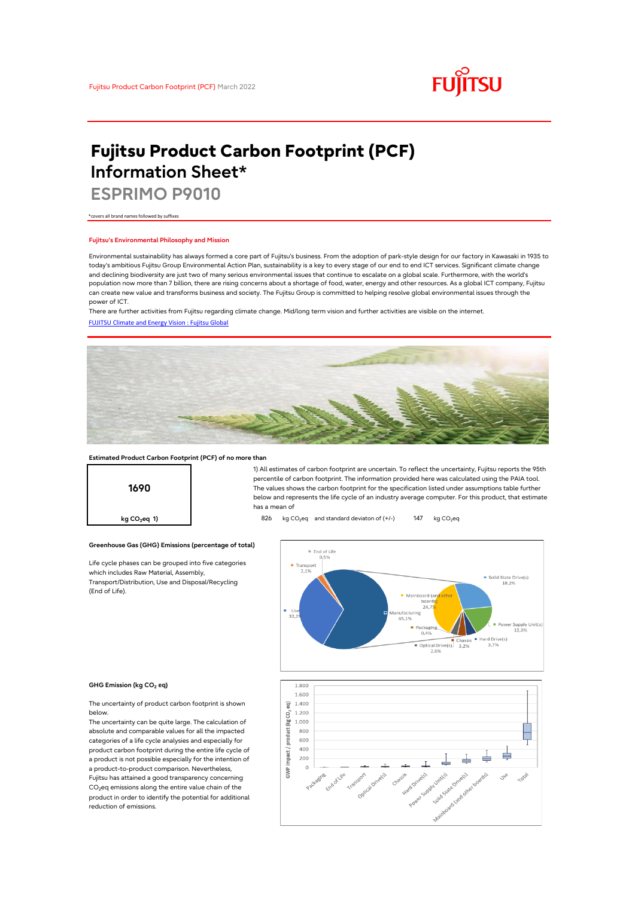

# **Fujitsu Product Carbon Footprint (PCF) Information Sheet\***

**ESPRIMO P9010**

\*covers all brand names followed by suffixes

### **Fujitsu's Environmental Philosophy and Mission**

Environmental sustainability has always formed a core part of Fujitsu's business. From the adoption of park-style design for our factory in Kawasaki in 1935 to today's ambitious Fujitsu Group Environmental Action Plan, sustainability is a key to every stage of our end to end ICT services. Significant climate change and declining biodiversity are just two of many serious environmental issues that continue to escalate on a global scale. Furthermore, with the world's population now more than 7 billion, there are rising concerns about a shortage of food, water, energy and other resources. As a global ICT company, Fujitsu can create new value and transforms business and society. The Fujitsu Group is committed to helping resolve global environmental issues through the power of ICT.

[FUJITSU Climate and Energy Vision : Fujitsu Global](https://www.fujitsu.com/global/about/environment/climate-energy-vision/) There are further activities from Fujitsu regarding climate change. Mid/long term vision and further activities are visible on the internet.



### **Estimated Product Carbon Footprint (PCF) of no more than**

**Greenhouse Gas (GHG) Emissions (percentage of total)**

Life cycle phases can be grouped into five categories

which includes Raw Material, Assembly, Transport/Distribution, Use and Disposal/Recycling



1) All estimates of carbon footprint are uncertain. To reflect the uncertainty, Fujitsu reports the 95th percentile of carbon footprint. The information provided here was calculated using the PAIA tool. The values shows the carbon footprint for the specification listed under assumptions table further below and represents the life cycle of an industry average computer. For this product, that estimate has a mean of

**kg CO<sub>2</sub>eq 1) a b** 826 kg CO<sub>2</sub>eq and standard deviaton of (+/-) 147 kg CO<sub>2</sub>eq



### **GHG Emission (kg CO2 eq)**

(End of Life).

The uncertainty of product carbon footprint is shown below.

The uncertainty can be quite large. The calculation of absolute and comparable values for all the impacted categories of a life cycle analysies and especially for product carbon footprint during the entire life cycle of a product is not possible especially for the intention of a product-to-product comparison. Nevertheless, Fujitsu has attained a good transparency concerning  $CO<sub>2</sub>$ eq emissions along the entire value chain of the product in order to identify the potential for additional reduction of emissions.